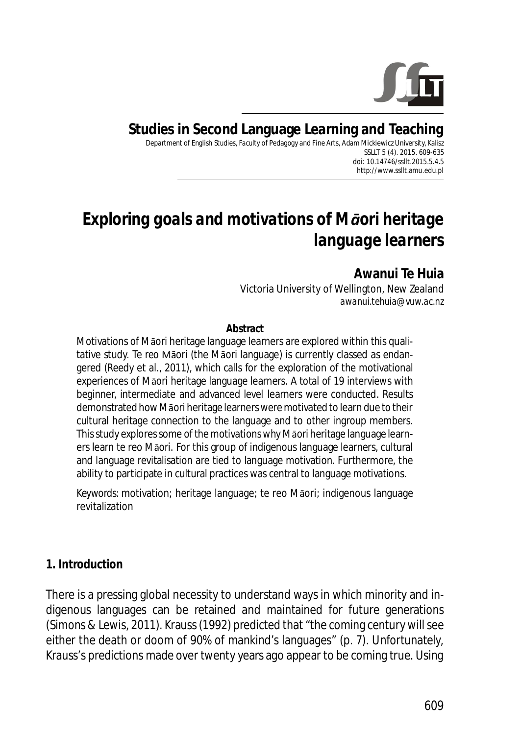

**Studies in Second Language Learning and Teaching**

Department of English Studies, Faculty of Pedagogy and Fine Arts, Adam Mickiewicz University, Kalisz SSLLT 5 (4). 2015. 609-635 *doi: 10.14746/ssllt.2015.5.4.5* http://www.ssllt.amu.edu.pl

# *Exploring goals and motivations of Māori heritage language learners*

# **Awanui Te Huia**

Victoria University of Wellington, New Zealand *awanui.tehuia@vuw.ac.nz*

#### **Abstract**

Motivations of Māori heritage language learners are explored within this qualitative study. *Te reo* Māori (the Māori language) is currently classed as endangered (Reedy et al., 2011), which calls for the exploration of the motivational experiences of Māori heritage language learners. A total of 19 interviews with beginner, intermediate and advanced level learners were conducted. Results demonstrated how Māori heritage learners were motivated to learn due to their cultural heritage connection to the language and to other ingroup members. This study explores some of the motivations why Māori heritage language learners learn te reo Māori. For this group of indigenous language learners, cultural and language revitalisation are tied to language motivation. Furthermore, the ability to participate in cultural practices was central to language motivations.

*Keywords*: motivation; heritage language; te reo Māori; indigenous language revitalization

#### **1. Introduction**

There is a pressing global necessity to understand ways in which minority and indigenous languages can be retained and maintained for future generations (Simons & Lewis, 2011). Krauss (1992) predicted that "the coming century will see either the death or doom of 90% of mankind's languages" (p. 7). Unfortunately, Krauss's predictions made over twenty years ago appear to be coming true. Using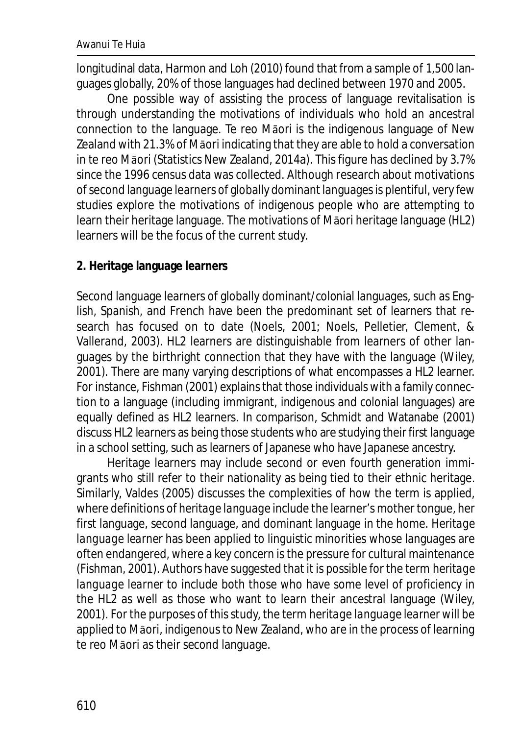longitudinal data, Harmon and Loh (2010) found that from a sample of 1,500 languages globally, 20% of those languages had declined between 1970 and 2005.

One possible way of assisting the process of language revitalisation is through understanding the motivations of individuals who hold an ancestral connection to the language. Te reo Māori is the indigenous language of New Zealand with 21.3% of Māori indicating that they are able to hold a conversation in te reo Māori (Statistics New Zealand, 2014a). This figure has declined by 3.7% since the 1996 census data was collected. Although research about motivations of second language learners of globally dominant languages is plentiful, very few studies explore the motivations of indigenous people who are attempting to learn their heritage language. The motivations of Māori heritage language (HL2) learners will be the focus of the current study.

### **2. Heritage language learners**

Second language learners of globally dominant/colonial languages, such as English, Spanish, and French have been the predominant set of learners that research has focused on to date (Noels, 2001; Noels, Pelletier, Clement, & Vallerand, 2003). HL2 learners are distinguishable from learners of other languages by the birthright connection that they have with the language (Wiley, 2001). There are many varying descriptions of what encompasses a HL2 learner. For instance, Fishman (2001) explains that those individuals with a family connection to a language (including immigrant, indigenous and colonial languages) are equally defined as HL2 learners. In comparison, Schmidt and Watanabe (2001) discuss HL2 learners as being those students who are studying their first language in a school setting, such as learners of Japanese who have Japanese ancestry.

Heritage learners may include second or even fourth generation immigrants who still refer to their nationality as being tied to their ethnic heritage. Similarly, Valdes (2005) discusses the complexities of how the term is applied, where definitions of *heritage language* include the learner's mother tongue, her first language, second language, and dominant language in the home. *Heritage language learner* has been applied to linguistic minorities whose languages are often endangered, where a key concern is the pressure for cultural maintenance (Fishman, 2001). Authors have suggested that it is possible for the term *heritage language learner* to include both those who have some level of proficiency in the HL2 as well as those who want to learn their ancestral language (Wiley, 2001). For the purposes of this study, the term *heritage language learner* will be applied to Māori, indigenous to New Zealand, who are in the process of learning te reo Māori as their second language.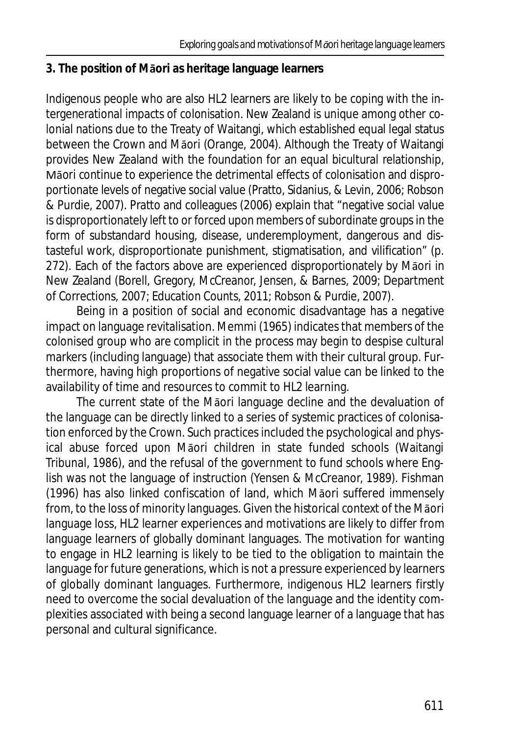## **3. The position of Māori as heritage language learners**

Indigenous people who are also HL2 learners are likely to be coping with the intergenerational impacts of colonisation. New Zealand is unique among other colonial nations due to the Treaty of Waitangi, which established equal legal status between the Crown and Māori (Orange, 2004). Although the Treaty of Waitangi provides New Zealand with the foundation for an equal bicultural relationship, Māori continue to experience the detrimental effects of colonisation and disproportionate levels of negative social value (Pratto, Sidanius, & Levin, 2006; Robson & Purdie, 2007). Pratto and colleagues (2006) explain that "negative social value is disproportionately left to or forced upon members of subordinate groups in the form of substandard housing, disease, underemployment, dangerous and distasteful work, disproportionate punishment, stigmatisation, and vilification" (p. 272). Each of the factors above are experienced disproportionately by Māori in New Zealand (Borell, Gregory, McCreanor, Jensen, & Barnes, 2009; Department of Corrections, 2007; Education Counts, 2011; Robson & Purdie, 2007).

Being in a position of social and economic disadvantage has a negative impact on language revitalisation. Memmi (1965) indicates that members of the colonised group who are complicit in the process may begin to despise cultural markers (including language) that associate them with their cultural group. Furthermore, having high proportions of negative social value can be linked to the availability of time and resources to commit to HL2 learning.

The current state of the Māori language decline and the devaluation of the language can be directly linked to a series of systemic practices of colonisation enforced by the Crown. Such practices included the psychological and physical abuse forced upon Māori children in state funded schools (Waitangi Tribunal, 1986), and the refusal of the government to fund schools where English was not the language of instruction (Yensen & McCreanor, 1989). Fishman (1996) has also linked confiscation of land, which Māori suffered immensely from, to the loss of minority languages. Given the historical context of the Māori language loss, HL2 learner experiences and motivations are likely to differ from language learners of globally dominant languages. The motivation for wanting to engage in HL2 learning is likely to be tied to the obligation to maintain the language for future generations, which is not a pressure experienced by learners of globally dominant languages. Furthermore, indigenous HL2 learners firstly need to overcome the social devaluation of the language and the identity complexities associated with being a second language learner of a language that has personal and cultural significance.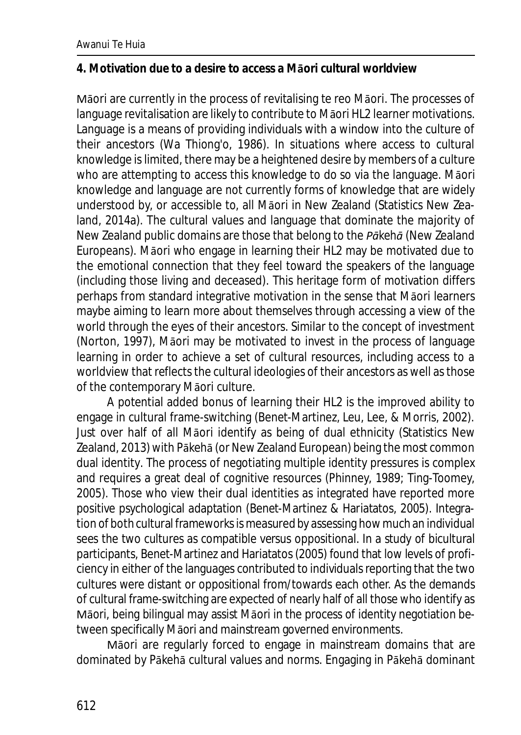#### **4. Motivation due to a desire to access a Māori cultural worldview**

Māori are currently in the process of revitalising te reo Māori. The processes of language revitalisation are likely to contribute to Māori HL2 learner motivations. Language is a means of providing individuals with a window into the culture of their ancestors (Wa Thiong'o, 1986). In situations where access to cultural knowledge is limited, there may be a heightened desire by members of a culture who are attempting to access this knowledge to do so via the language. Māori knowledge and language are not currently forms of knowledge that are widely understood by, or accessible to, all Māori in New Zealand (Statistics New Zealand, 2014a). The cultural values and language that dominate the majority of New Zealand public domains are those that belong to the *Pākehā* (New Zealand Europeans). Māori who engage in learning their HL2 may be motivated due to the emotional connection that they feel toward the speakers of the language (including those living and deceased). This heritage form of motivation differs perhaps from standard integrative motivation in the sense that Māori learners maybe aiming to learn more about *themselves* through accessing a view of the world through the eyes of their ancestors. Similar to the concept of investment (Norton, 1997), Māori may be motivated to invest in the process of language learning in order to achieve a set of cultural resources, including access to a worldview that reflects the cultural ideologies of their ancestors as well as those of the contemporary Māori culture.

A potential added bonus of learning their HL2 is the improved ability to engage in cultural frame-switching (Benet-Martinez, Leu, Lee, & Morris, 2002). Just over half of all Māori identify as being of dual ethnicity (Statistics New Zealand, 2013) with Pākehā (or New Zealand European) being the most common dual identity. The process of negotiating multiple identity pressures is complex and requires a great deal of cognitive resources (Phinney, 1989; Ting-Toomey, 2005). Those who view their dual identities as integrated have reported more positive psychological adaptation (Benet-Martinez & Hariatatos, 2005). Integration of both cultural frameworks is measured by assessing how much an individual sees the two cultures as compatible versus oppositional. In a study of bicultural participants, Benet-Martinez and Hariatatos (2005) found that low levels of proficiency in either of the languages contributed to individuals reporting that the two cultures were distant or oppositional from/towards each other. As the demands of cultural frame-switching are expected of nearly half of all those who identify as Māori, being bilingual may assist Māori in the process of identity negotiation between specifically Māori and mainstream governed environments.

Māori are regularly forced to engage in mainstream domains that are dominated by Pākehā cultural values and norms. Engaging in Pākehā dominant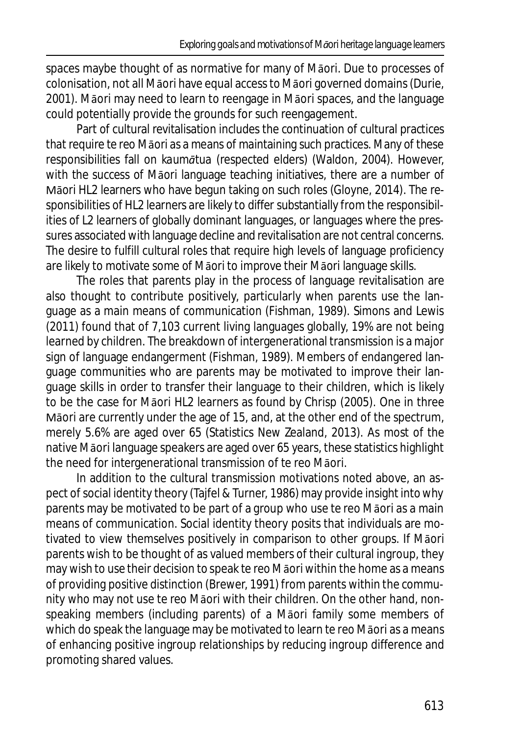spaces maybe thought of as normative for many of Māori. Due to processes of colonisation, not all Māori have equal access to Māori governed domains (Durie, 2001). Māori may need to learn to reengage in Māori spaces, and the language could potentially provide the grounds for such reengagement.

Part of cultural revitalisation includes the continuation of cultural practices that require te reo Māori as a means of maintaining such practices. Many of these responsibilities fall on *kaumātua* (respected elders) (Waldon, 2004). However, with the success of Māori language teaching initiatives, there are a number of Māori HL2 learners who have begun taking on such roles (Gloyne, 2014). The responsibilities of HL2 learners are likely to differ substantially from the responsibilities of L2 learners of globally dominant languages, or languages where the pressures associated with language decline and revitalisation are not central concerns. The desire to fulfill cultural roles that require high levels of language proficiency are likely to motivate some of Māori to improve their Māori language skills.

The roles that parents play in the process of language revitalisation are also thought to contribute positively, particularly when parents *use* the language as a main means of communication (Fishman, 1989). Simons and Lewis (2011) found that of 7,103 current living languages globally, 19% are not being learned by children. The breakdown of intergenerational transmission is a major sign of language endangerment (Fishman, 1989). Members of endangered language communities who are parents may be motivated to improve their language skills in order to transfer their language to their children, which is likely to be the case for Māori HL2 learners as found by Chrisp (2005). One in three Māori are currently under the age of 15, and, at the other end of the spectrum, merely 5.6% are aged over 65 (Statistics New Zealand, 2013). As most of the native Māori language speakers are aged over 65 years, these statistics highlight the need for intergenerational transmission of te reo Māori.

In addition to the cultural transmission motivations noted above, an aspect of social identity theory (Tajfel & Turner, 1986) may provide insight into why parents may be motivated to be part of a group who use te reo Māori as a main means of communication. Social identity theory posits that individuals are motivated to view themselves positively in comparison to other groups. If Māori parents wish to be thought of as valued members of their cultural ingroup, they may wish to use their decision to speak te reo Māori within the home as a means of providing positive distinction (Brewer, 1991) from parents within the community who may not use te reo Māori with their children. On the other hand, nonspeaking members (including parents) of a Māori family some members of which do speak the language may be motivated to learn te reo Māori as a means of enhancing positive ingroup relationships by reducing ingroup difference and promoting shared values.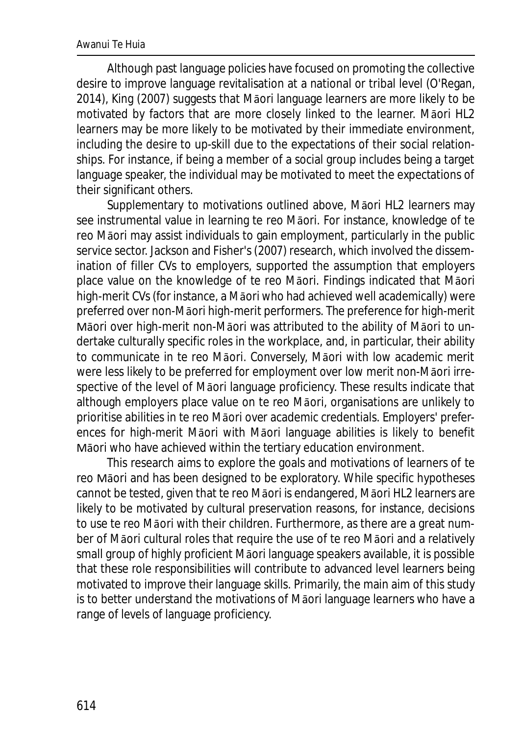Although past language policies have focused on promoting the collective desire to improve language revitalisation at a national or tribal level (O'Regan, 2014), King (2007) suggests that Māori language learners are more likely to be motivated by factors that are more closely linked to the learner. Māori HL2 learners may be more likely to be motivated by their immediate environment, including the desire to up-skill due to the expectations of their social relationships. For instance, if being a member of a social group includes being a target language speaker, the individual may be motivated to meet the expectations of their significant others.

Supplementary to motivations outlined above, Māori HL2 learners may see instrumental value in learning te reo Māori. For instance, knowledge of te reo Māori may assist individuals to gain employment, particularly in the public service sector. Jackson and Fisher's (2007) research, which involved the dissemination of filler CVs to employers, supported the assumption that employers place value on the knowledge of te reo Māori. Findings indicated that Māori high-merit CVs (for instance, a Māori who had achieved well academically) were preferred over non-Māori high-merit performers. The preference for high-merit Māori over high-merit non-Māori was attributed to the ability of Māori to undertake culturally specific roles in the workplace, and, in particular, their ability to communicate in te reo Māori. Conversely, Māori with low academic merit were less likely to be preferred for employment over low merit non-Māori irrespective of the level of Māori language proficiency. These results indicate that although employers place value on te reo Māori, organisations are unlikely to prioritise abilities in te reo Māori over academic credentials. Employers' preferences for high-merit Māori with Māori language abilities is likely to benefit Māori who have achieved within the tertiary education environment.

This research aims to explore the goals and motivations of learners of te reo Māori and has been designed to be exploratory. While specific hypotheses cannot be tested, given that te reo Māori is endangered, Māori HL2 learners are likely to be motivated by cultural preservation reasons, for instance, decisions to use te reo Māori with their children. Furthermore, as there are a great number of Māori cultural roles that require the use of te reo Māori and a relatively small group of highly proficient Māori language speakers available, it is possible that these role responsibilities will contribute to advanced level learners being motivated to improve their language skills. Primarily, the main aim of this study is to better understand the motivations of Māori language learners who have a range of levels of language proficiency.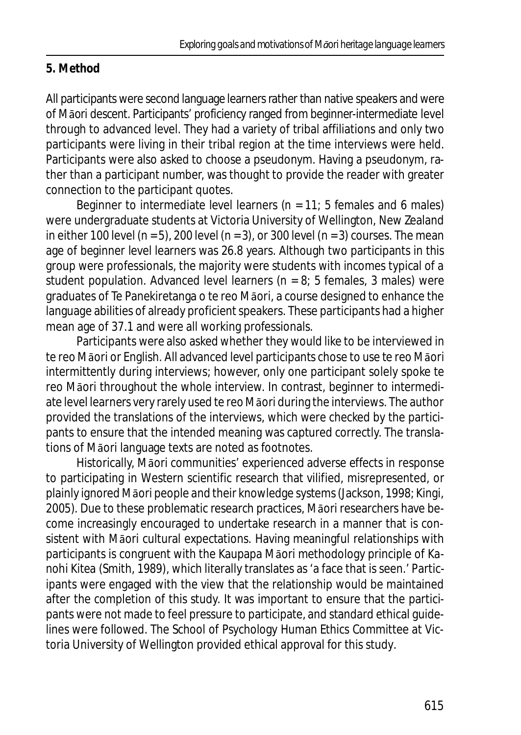## **5. Method**

All participants were second language learners rather than native speakers and were of Māori descent. Participants' proficiency ranged from beginner-intermediate level through to advanced level. They had a variety of tribal affiliations and only two participants were living in their tribal region at the time interviews were held. Participants were also asked to choose a pseudonym. Having a pseudonym, rather than a participant number, was thought to provide the reader with greater connection to the participant quotes.

Beginner to intermediate level learners (*n* = 11; 5 females and 6 males) were undergraduate students at Victoria University of Wellington, New Zealand in either 100 level (*n* = 5), 200 level (*n* = 3), or 300 level (*n* = 3) courses. The mean age of beginner level learners was 26.8 years. Although two participants in this group were professionals, the majority were students with incomes typical of a student population. Advanced level learners ( $n = 8$ ; 5 females, 3 males) were graduates of Te Panekiretanga o te reo Māori, a course designed to enhance the language abilities of already proficient speakers. These participants had a higher mean age of 37.1 and were all working professionals.

Participants were also asked whether they would like to be interviewed in te reo Māori or English. All advanced level participants chose to use te reo Māori intermittently during interviews; however, only one participant solely spoke te reo Māori throughout the whole interview. In contrast, beginner to intermediate level learners very rarely used te reo Māori during the interviews. The author provided the translations of the interviews, which were checked by the participants to ensure that the intended meaning was captured correctly. The translations of Māori language texts are noted as footnotes.

Historically, Māori communities' experienced adverse effects in response to participating in Western scientific research that vilified, misrepresented, or plainly ignored Māori people and their knowledge systems (Jackson, 1998; Kingi, 2005). Due to these problematic research practices, Māori researchers have become increasingly encouraged to undertake research in a manner that is consistent with Māori cultural expectations. Having meaningful relationships with participants is congruent with the Kaupapa Māori methodology principle of *Kanohi Kitea* (Smith, 1989), which literally translates as 'a face that is seen.' Participants were engaged with the view that the relationship would be maintained after the completion of this study. It was important to ensure that the participants were not made to feel pressure to participate, and standard ethical guidelines were followed. The School of Psychology Human Ethics Committee at Victoria University of Wellington provided ethical approval for this study.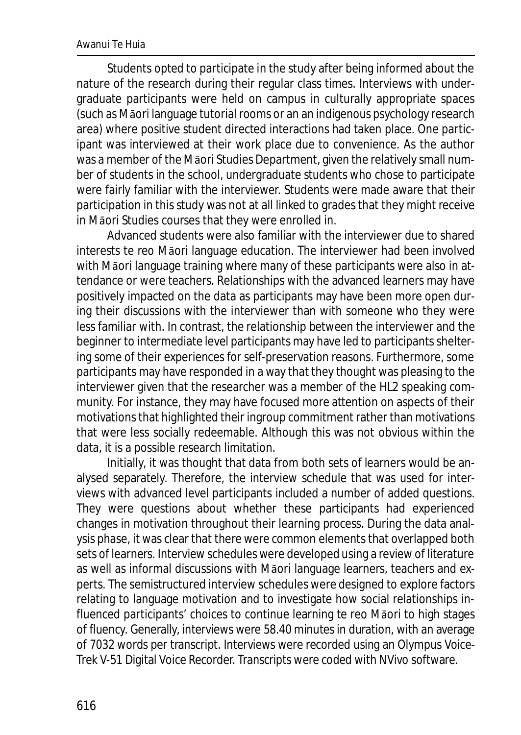Students opted to participate in the study after being informed about the nature of the research during their regular class times. Interviews with undergraduate participants were held on campus in culturally appropriate spaces (such as Māori language tutorial rooms or an an indigenous psychology research area) where positive student directed interactions had taken place. One participant was interviewed at their work place due to convenience. As the author was a member of the Māori Studies Department, given the relatively small number of students in the school, undergraduate students who chose to participate were fairly familiar with the interviewer. Students were made aware that their participation in this study was not at all linked to grades that they might receive in Māori Studies courses that they were enrolled in.

Advanced students were also familiar with the interviewer due to shared interests te reo Māori language education. The interviewer had been involved with Māori language training where many of these participants were also in attendance or were teachers. Relationships with the advanced learners may have positively impacted on the data as participants may have been more open during their discussions with the interviewer than with someone who they were less familiar with. In contrast, the relationship between the interviewer and the beginner to intermediate level participants may have led to participants sheltering some of their experiences for self-preservation reasons. Furthermore, some participants may have responded in a way that they thought was pleasing to the interviewer given that the researcher was a member of the HL2 speaking community. For instance, they may have focused more attention on aspects of their motivations that highlighted their ingroup commitment rather than motivations that were less socially redeemable. Although this was not obvious within the data, it is a possible research limitation.

Initially, it was thought that data from both sets of learners would be analysed separately. Therefore, the interview schedule that was used for interviews with advanced level participants included a number of added questions. They were questions about whether these participants had experienced changes in motivation throughout their learning process. During the data analysis phase, it was clear that there were common elements that overlapped both sets of learners. Interview schedules were developed using a review of literature as well as informal discussions with Māori language learners, teachers and experts. The semistructured interview schedules were designed to explore factors relating to language motivation and to investigate how social relationships influenced participants' choices to continue learning te reo Māori to high stages of fluency. Generally, interviews were 58.40 minutes in duration, with an average of 7032 words per transcript. Interviews were recorded using an Olympus Voice-Trek V-51 Digital Voice Recorder. Transcripts were coded with NVivo software.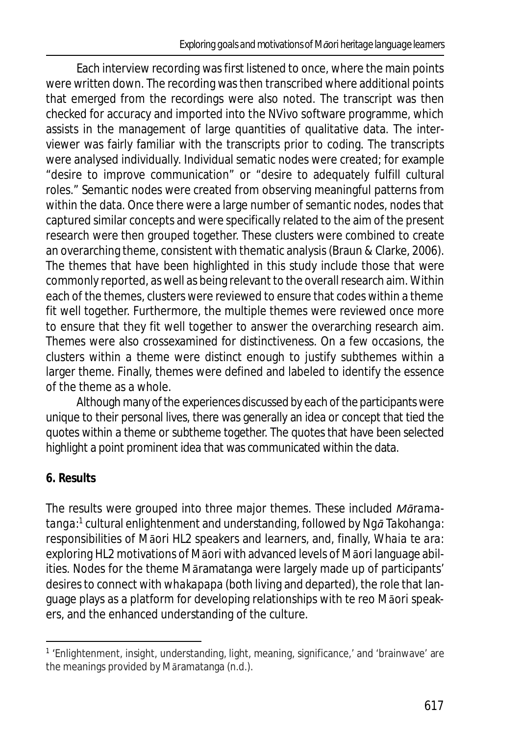Each interview recording was first listened to once, where the main points were written down. The recording was then transcribed where additional points that emerged from the recordings were also noted. The transcript was then checked for accuracy and imported into the NVivo software programme, which assists in the management of large quantities of qualitative data. The interviewer was fairly familiar with the transcripts prior to coding. The transcripts were analysed individually. Individual sematic nodes were created; for example "desire to improve communication" or "desire to adequately fulfill cultural roles." Semantic nodes were created from observing meaningful patterns from within the data. Once there were a large number of semantic nodes, nodes that captured similar concepts and were specifically related to the aim of the present research were then grouped together. These clusters were combined to create an overarching theme, consistent with thematic analysis (Braun & Clarke, 2006). The themes that have been highlighted in this study include those that were commonly reported, as well as being relevant to the overall research aim. Within each of the themes, clusters were reviewed to ensure that codes within a theme fit well together. Furthermore, the multiple themes were reviewed once more to ensure that they fit well together to answer the overarching research aim. Themes were also crossexamined for distinctiveness. On a few occasions, the clusters within a theme were distinct enough to justify subthemes within a larger theme. Finally, themes were defined and labeled to identify the essence of the theme as a whole.

Although many of the experiences discussed by each of the participants were unique to their personal lives, there was generally an idea or concept that tied the quotes within a theme or subtheme together. The quotes that have been selected highlight a point prominent idea that was communicated within the data.

# **6. Results**

The results were grouped into three major themes. These included *Māramatanga:*<sup>1</sup> cultural enlightenment and understanding, followed by *Ngā Takohanga:* responsibilities of Māori HL2 speakers and learners, and, finally, *Whaia te ara:* exploring HL2 motivations of Māori with advanced levels of Māori language abilities. Nodes for the theme Māramatanga were largely made up of participants' desires to connect with *whakapapa* (both living and departed), the role that language plays as a platform for developing relationships with te reo Māori speakers, and the enhanced understanding of the culture.

<sup>&</sup>lt;sup>1</sup> 'Enlightenment, insight, understanding, light, meaning, significance,' and 'brainwave' are the meanings provided by Māramatanga (n.d.).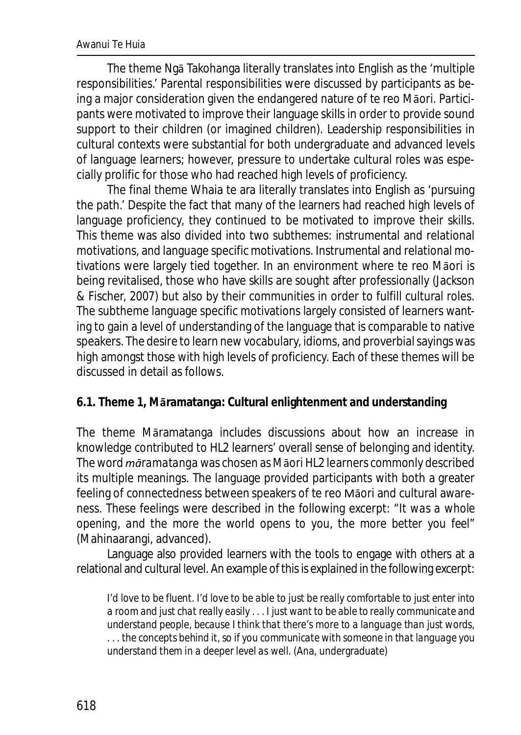The theme Ngā Takohanga literally translates into English as the 'multiple responsibilities*.'* Parental responsibilities were discussed by participants as being a major consideration given the endangered nature of te reo Māori. Participants were motivated to improve their language skills in order to provide sound support to their children (or imagined children). Leadership responsibilities in cultural contexts were substantial for both undergraduate and advanced levels of language learners; however, pressure to undertake cultural roles was especially prolific for those who had reached high levels of proficiency.

The final theme Whaia te ara literally translates into English as 'pursuing the path*.'* Despite the fact that many of the learners had reached high levels of language proficiency, they continued to be motivated to improve their skills. This theme was also divided into two subthemes: instrumental and relational motivations, and language specific motivations. Instrumental and relational motivations were largely tied together. In an environment where te reo Māori is being revitalised, those who have skills are sought after professionally (Jackson & Fischer, 2007) but also by their communities in order to fulfill cultural roles. The subtheme language specific motivations largely consisted of learners wanting to gain a level of understanding of the language that is comparable to native speakers. The desire to learn new vocabulary, idioms, and proverbial sayings was high amongst those with high levels of proficiency. Each of these themes will be discussed in detail as follows.

**6.1. Theme 1, Māramatanga: Cultural enlightenment and understanding**

The theme Māramatanga includes discussions about how an increase in knowledge contributed to HL2 learners' overall sense of belonging and identity. The word *māramatanga* was chosen as Māori HL2 learners commonly described its multiple meanings. The language provided participants with both a greater feeling of connectedness between speakers of te reo Māori and cultural awareness. These feelings were described in the following excerpt: "*It was a whole opening, and the more the world opens to you, the more better you feel*" (Mahinaarangi, advanced).

Language also provided learners with the tools to engage with others at a relational and cultural level. An example of this is explained in the following excerpt:

*I'd love to be fluent. I'd love to be able to just be really comfortable to just enter into a room and just chat really easily . . . I just want to be able to really communicate and understand people, because I think that there's more to a language than just words, . . . the concepts behind it, so if you communicate with someone in that language you understand them in a deeper level as well.* (Ana, undergraduate)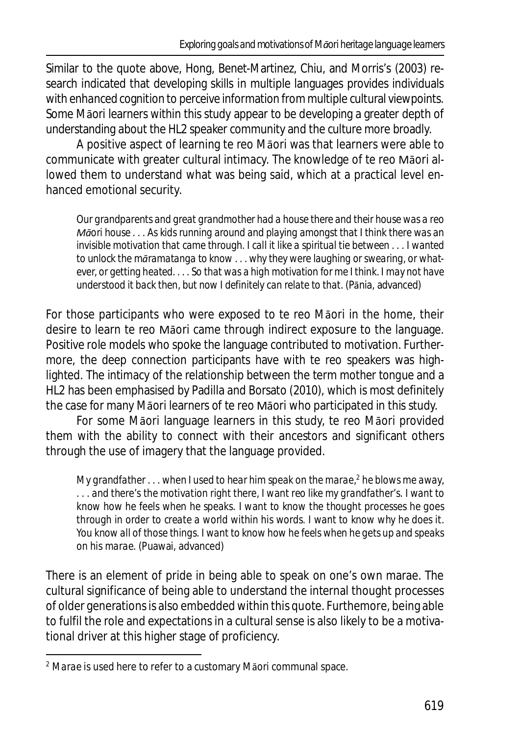Similar to the quote above, Hong, Benet-Martinez, Chiu, and Morris's (2003) research indicated that developing skills in multiple languages provides individuals with enhanced cognition to perceive information from multiple cultural viewpoints. Some Māori learners within this study appear to be developing a greater depth of understanding about the HL2 speaker community and the culture more broadly.

A positive aspect of learning te reo Māori was that learners were able to communicate with greater cultural intimacy. The knowledge of te reo Māori allowed them to understand what was being said, which at a practical level enhanced emotional security.

*Our grandparents and great grandmother had a house there and their house was a reo Māori house . . . As kids running around and playing amongst that I think there was an invisible motivation that came through. I call it like a spiritual tie between . . . I wanted to unlock the māramatanga to know . . . why they were laughing or swearing, or whatever, or getting heated. . . . So that was a high motivation for me I think. I may not have understood it back then, but now I definitely can relate to that.* (Pānia, advanced)

For those participants who were exposed to te reo Māori in the home, their desire to learn te reo Māori came through indirect exposure to the language. Positive role models who spoke the language contributed to motivation. Furthermore, the deep connection participants have with te reo speakers was highlighted. The intimacy of the relationship between the term *mother tongue* and a HL2 has been emphasised by Padilla and Borsato (2010), which is most definitely the case for many Māori learners of te reo Māori who participated in this study.

For some Māori language learners in this study, te reo Māori provided them with the ability to connect with their ancestors and significant others through the use of imagery that the language provided.

*My grandfather . . . when I used to hear him speak on the marae,<sup>2</sup> he blows me away, . . . and there's the motivation right there, I want reo like my grandfather's. I want to know how he feels when he speaks. I want to know the thought processes he goes through in order to create a world within his words. I want to know why he does it. You know all of those things. I want to know how he feels when he gets up and speaks on his marae.* (Puawai, advanced)

There is an element of pride in being able to speak on one's own marae. The cultural significance of being able to understand the internal thought processes of older generations is also embedded within this quote. Furthemore, being able to fulfil the role and expectations in a cultural sense is also likely to be a motivational driver at this higher stage of proficiency.

<sup>2</sup> *Marae* is used here to refer to a customary Māori communal space.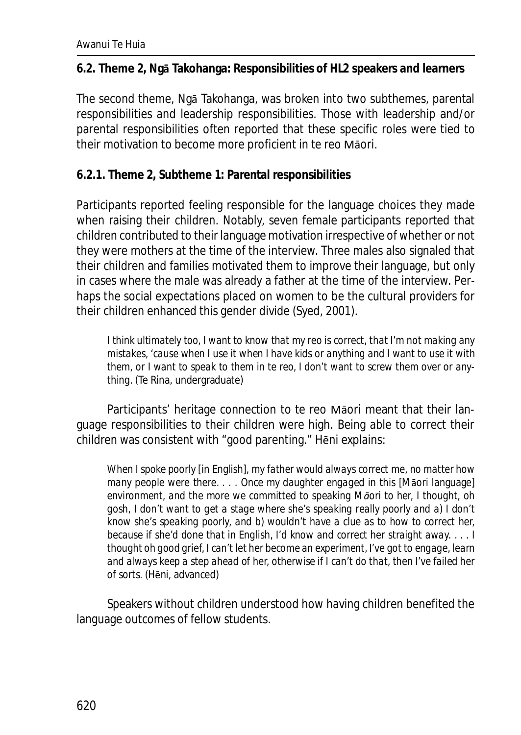**6.2. Theme 2, Ngā Takohanga: Responsibilities of HL2 speakers and learners**

The second theme, Ngā Takohanga, was broken into two subthemes, parental responsibilities and leadership responsibilities. Those with leadership and/or parental responsibilities often reported that these specific roles were tied to their motivation to become more proficient in te reo Māori.

**6.2.1. Theme 2, Subtheme 1: Parental responsibilities**

Participants reported feeling responsible for the language choices they made when raising their children. Notably, seven female participants reported that children contributed to their language motivation irrespective of whether or not they were mothers at the time of the interview. Three males also signaled that their children and families motivated them to improve their language, but only in cases where the male was already a father at the time of the interview. Perhaps the social expectations placed on women to be the cultural providers for their children enhanced this gender divide (Syed, 2001).

*I think ultimately too, I want to know that my reo is correct, that I'm not making any mistakes, 'cause when I use it when I have kids or anything and I want to use it with them, or I want to speak to them in te reo, I don't want to screw them over or anything.* (Te Rina, undergraduate)

Participants' heritage connection to te reo Māori meant that their language responsibilities to their children were high. Being able to correct their children was consistent with "good parenting." Hēni explains:

*When I spoke poorly* [in English]*, my father would always correct me, no matter how many people were there. . . . Once my daughter engaged in this* [Māori language] *environment, and the more we committed to speaking Māori to her, I thought, oh gosh, I don't want to get a stage where she's speaking really poorly and a) I don't know she's speaking poorly, and b) wouldn't have a clue as to how to correct her, because if she'd done that in English, I'd know and correct her straight away. . . . I thought oh good grief, I can't let her become an experiment, I've got to engage, learn and always keep a step ahead of her, otherwise if I can't do that, then I've failed her of sorts.* (Hēni, advanced)

Speakers without children understood how having children benefited the language outcomes of fellow students.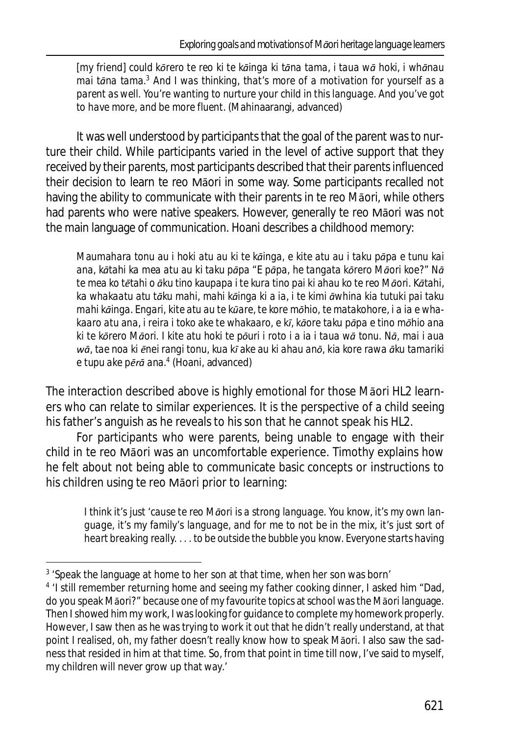[my friend] *could kōrero te reo ki te kāinga ki tāna tama, i taua wā hoki, i whānau mai tāna tama.<sup>3</sup> And I was thinking, that's more of a motivation for yourself as a parent as well. You're wanting to nurture your child in this language. And you've got to have more, and be more fluent.* (Mahinaarangi, advanced)

It was well understood by participants that the goal of the parent was to nurture their child. While participants varied in the level of active support that they received by their parents, most participants described that their parents influenced their decision to learn te reo Māori in some way. Some participants recalled not having the ability to communicate with their parents in te reo Māori, while others had parents who were native speakers. However, generally te reo Māori was not the main language of communication. Hoani describes a childhood memory:

*Maumahara tonu au i hoki atu au ki te kāinga, e kite atu au i taku pāpa e tunu kai ana, kātahi ka mea atu au ki taku pāpa "E pāpa, he tangata kōrero Māori koe?" Nā te mea ko tētahi o āku tino kaupapa i te kura tino pai ki ahau ko te reo Māori. Kātahi, ka whakaatu atu tāku mahi, mahi kāinga ki a ia, i te kimi āwhina kia tutuki pai taku mahi kāinga. Engari, kite atu au te kūare, te kore mōhio, te matakohore, i a ia e whakaaro atu ana, i reira i toko ake te whakaaro, e kī, kāore taku pāpa e tino mōhio ana ki te kōrero Māori. I kite atu hoki te pōuri i roto i a ia i taua wā tonu. Nā, mai i aua wā, tae noa ki ēnei rangi tonu, kua kī ake au ki ahau anō, kia kore rawa āku tamariki e tupu ake pērā ana.<sup>4</sup>* (Hoani, advanced)

The interaction described above is highly emotional for those Māori HL2 learners who can relate to similar experiences. It is the perspective of a child seeing his father's anguish as he reveals to his son that he cannot speak his HL2.

For participants who were parents, being unable to engage with their child in te reo Māori was an uncomfortable experience. Timothy explains how he felt about not being able to communicate basic concepts or instructions to his children using te reo Māori prior to learning:

*I think it's just 'cause te reo Māori is a strong language. You know, it's my own language, it's my family's language, and for me to not be in the mix, it's just sort of heart breaking really. . . . to be outside the bubble you know. Everyone starts having*

<sup>&</sup>lt;sup>3</sup> 'Speak the language at home to her son at that time, when her son was born'

<sup>&</sup>lt;sup>4</sup> 'I still remember returning home and seeing my father cooking dinner, I asked him "Dad, do you speak Māori?" because one of my favourite topics at school was the Māori language. Then I showed him my work, I was looking for guidance to complete my homework properly. However, I saw then as he was trying to work it out that he didn't really understand, at that point I realised, oh, my father doesn't really know how to speak Māori. I also saw the sadness that resided in him at that time. So, from that point in time till now, I've said to myself, my children will never grow up that way.'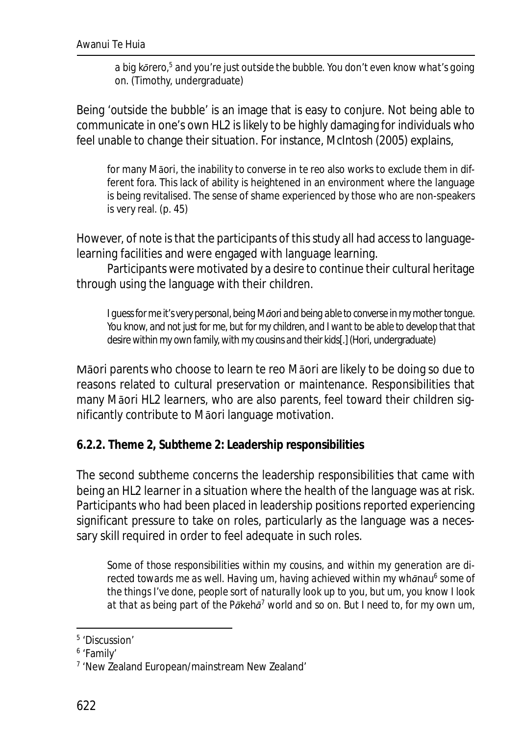*a big kōrero,* $^5$  *and you're just outside the bubble. You don't even know what's going on.* (Timothy, undergraduate)

Being 'outside the bubble' is an image that is easy to conjure. Not being able to communicate in one's own HL2 is likely to be highly damaging for individuals who feel unable to change their situation. For instance, McIntosh (2005) explains,

for many Māori, the inability to converse in *te reo* also works to exclude them in different fora. This lack of ability is heightened in an environment where the language is being revitalised. The sense of shame experienced by those who are non-speakers is very real. (p. 45)

However, of note is that the participants of this study all had access to languagelearning facilities and were engaged with language learning.

Participants were motivated by a desire to continue their cultural heritage through using the language with their children.

*I guess for me it's very personal, being Māori and being able to converse in my mother tongue. You know, and not just for me, but for my children, and I want to be able to develop that that desire within my own family, with my cousins and their kids*[.](Hori, undergraduate)

Māori parents who choose to learn te reo Māori are likely to be doing so due to reasons related to cultural preservation or maintenance. Responsibilities that many Māori HL2 learners, who are also parents, feel toward their children significantly contribute to Māori language motivation.

**6.2.2. Theme 2, Subtheme 2: Leadership responsibilities**

The second subtheme concerns the leadership responsibilities that came with being an HL2 learner in a situation where the health of the language was at risk. Participants who had been placed in leadership positions reported experiencing significant pressure to take on roles, particularly as the language was a necessary skill required in order to feel adequate in such roles.

*Some of those responsibilities within my cousins, and within my generation are directed towards me as well. Having um, having achieved within my whānau<sup>6</sup> some of the things I've done, people sort of naturally look up to you, but um, you know I look at that as being part of the Pākehā 7 world and so on. But I need to, for my own um,*

<sup>5</sup> 'Discussion'

<sup>6</sup> 'Family'

<sup>&</sup>lt;sup>7</sup> 'New Zealand European/mainstream New Zealand'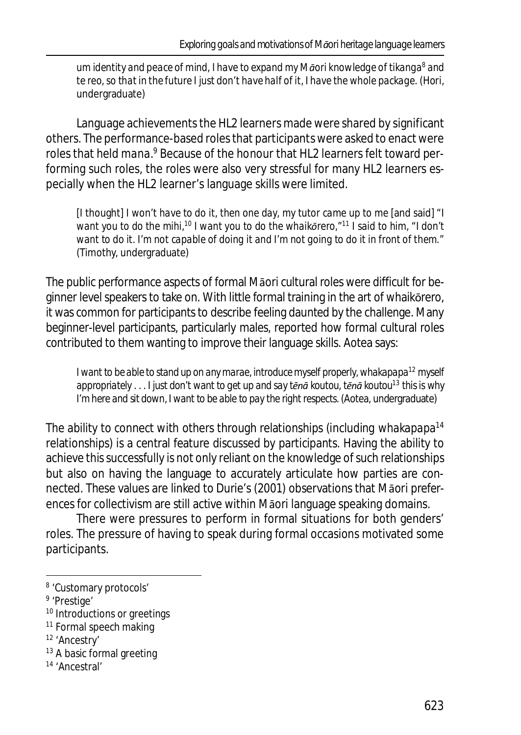*um identity and peace of mind, I have to expand my Māori knowledge of tikanga<sup>8</sup> and te reo, so that in the future I just don't have half of it, I have the whole package.* (Hori, undergraduate)

Language achievements the HL2 learners made were shared by significant others. The performance-based roles that participants were asked to enact were roles that held *mana*.<sup>9</sup> Because of the honour that HL2 learners felt toward performing such roles, the roles were also very stressful for many HL2 learners especially when the HL2 learner's language skills were limited.

[I thought] *I won't have to do it, then one day, my tutor came up to me* [and said] *"I want you to do the mihi,<sup>10</sup> I want you to do the whaikōrero,"<sup>11</sup> I said to him, "I don't want to do it. I'm not capable of doing it and I'm not going to do it in front of them."* (Timothy, undergraduate)

The public performance aspects of formal Māori cultural roles were difficult for beginner level speakers to take on. With little formal training in the art of whaikōrero, it was common for participants to describe feeling daunted by the challenge. Many beginner-level participants, particularly males, reported how formal cultural roles contributed to them wanting to improve their language skills. Aotea says:

*I want to be able to stand up on any marae, introduce myself properly, whakapapa<sup>12</sup> myself appropriately . . . I just don't want to get up and say tēnā koutou, tēnā koutou<sup>13</sup> this is why I'm here and sit down, I want to be able to pay the right respects.* (Aotea, undergraduate)

The ability to connect with others through relationships (including *whakapapa*<sup>14</sup> relationships) is a central feature discussed by participants. Having the ability to achieve this successfully is not only reliant on the knowledge of such relationships but also on having the language to accurately articulate how parties are connected. These values are linked to Durie's (2001) observations that Māori preferences for collectivism are still active within Māori language speaking domains.

There were pressures to perform in formal situations for both genders' roles. The pressure of having to speak during formal occasions motivated some participants.

<sup>&</sup>lt;sup>8</sup> 'Customary protocols'

<sup>&</sup>lt;sup>9</sup> 'Prestige'

<sup>&</sup>lt;sup>10</sup> Introductions or greetings

<sup>&</sup>lt;sup>11</sup> Formal speech making

<sup>12</sup> 'Ancestry'

<sup>&</sup>lt;sup>13</sup> A basic formal greeting

<sup>14</sup> 'Ancestral'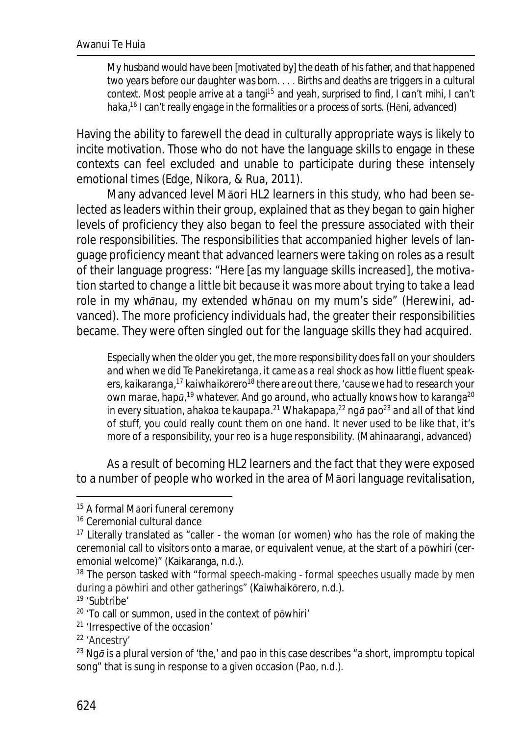*My husband would have been* [motivated by] *the death of his father, and that happened two years before our daughter was born. . . . Births and deaths are triggers in a cultural context. Most people arrive at a tangi<sup>15</sup> and yeah, surprised to find, I can't mihi, I can't haka,<sup>16</sup> I can't really engage in the formalities or a process of sorts.* (Hēni, advanced)

Having the ability to farewell the dead in culturally appropriate ways is likely to incite motivation. Those who do not have the language skills to engage in these contexts can feel excluded and unable to participate during these intensely emotional times (Edge, Nikora, & Rua, 2011).

Many advanced level Māori HL2 learners in this study, who had been selected as leaders within their group, explained that as they began to gain higher levels of proficiency they also began to feel the pressure associated with their role responsibilities. The responsibilities that accompanied higher levels of language proficiency meant that advanced learners were taking on roles as a result of their language progress: "*Here* [as my language skills increased]*, the motivation started to change a little bit because it was more about trying to take a lead role in my whānau, my extended whānau on my mum's side*" (Herewini, advanced). The more proficiency individuals had, the greater their responsibilities became. They were often singled out for the language skills they had acquired.

*Especially when the older you get, the more responsibility does fall on your shoulders and when we did Te Panekiretanga, it came as a real shock as how little fluent speakers, kaikaranga,<sup>17</sup> kaiwhaikōrero<sup>18</sup> there are out there, 'cause we had to research your own marae, hapū, <sup>19</sup> whatever. And go around, who actually knows how to karanga<sup>20</sup> in every situation, ahakoa te kaupapa.<sup>21</sup> Whakapapa,<sup>22</sup> ngā pao<sup>23</sup> and all of that kind of stuff, you could really count them on one hand. It never used to be like that, it's more of a responsibility, your reo is a huge responsibility.* (Mahinaarangi, advanced)

As a result of becoming HL2 learners and the fact that they were exposed to a number of people who worked in the area of Māori language revitalisation,

<sup>19</sup> 'Subtribe'

<sup>&</sup>lt;sup>15</sup> A formal Māori funeral ceremony

<sup>16</sup> Ceremonial cultural dance

<sup>&</sup>lt;sup>17</sup> Literally translated as "caller - the woman (or women) who has the role of making the ceremonial call to visitors onto a marae, or equivalent venue, at the start of a pōwhiri (ceremonial welcome)" (Kaikaranga, n.d.).

<sup>&</sup>lt;sup>18</sup> The person tasked with "formal speech-making - formal speeches usually made by men during a pōwhiri and other gatherings" (Kaiwhaikōrero, n.d.).

<sup>20</sup> 'To call or summon, used in the context of pōwhiri'

<sup>21</sup> 'Irrespective of the occasion'

<sup>22</sup> 'Ancestry'

<sup>23</sup> *Ngā* is a plural version of 'the,' and *pao* in this case describes "a short, impromptu topical song" that is sung in response to a given occasion (Pao, n.d.).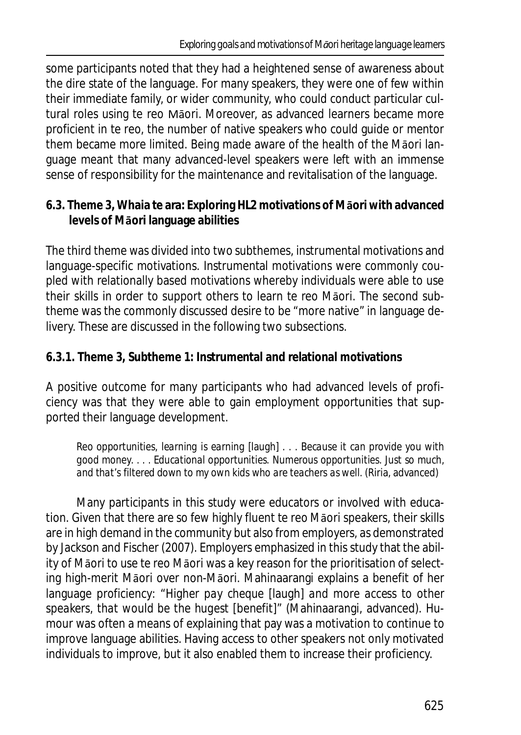some participants noted that they had a heightened sense of awareness about the dire state of the language. For many speakers, they were one of few within their immediate family, or wider community, who could conduct particular cultural roles using te reo Māori. Moreover, as advanced learners became more proficient in te reo, the number of native speakers who could guide or mentor them became more limited. Being made aware of the health of the Māori language meant that many advanced-level speakers were left with an immense sense of responsibility for the maintenance and revitalisation of the language.

**6.3. Theme 3, Whaia te ara: Exploring HL2 motivations of Māori with advanced levels of Māori language abilities**

The third theme was divided into two subthemes, instrumental motivations and language-specific motivations. Instrumental motivations were commonly coupled with relationally based motivations whereby individuals were able to use their skills in order to support others to learn te reo Māori. The second subtheme was the commonly discussed desire to be "more native" in language delivery. These are discussed in the following two subsections.

**6.3.1. Theme 3, Subtheme 1: Instrumental and relational motivations**

A positive outcome for many participants who had advanced levels of proficiency was that they were able to gain employment opportunities that supported their language development.

*Reo opportunities, learning is earning* [laugh] *. . . Because it can provide you with good money. . . . Educational opportunities. Numerous opportunities. Just so much, and that's filtered down to my own kids who are teachers as well.* (Riria, advanced)

Many participants in this study were educators or involved with education. Given that there are so few highly fluent te reo Māori speakers, their skills are in high demand in the community but also from employers, as demonstrated by Jackson and Fischer (2007). Employers emphasized in this study that the ability of Māori to use te reo Māori was a key reason for the prioritisation of selecting high-merit Māori over non-Māori. Mahinaarangi explains a benefit of her language proficiency: "*Higher pay cheque* [laugh] *and more access to other speakers, that would be the hugest* [benefit]" (Mahinaarangi, advanced). Humour was often a means of explaining that pay was a motivation to continue to improve language abilities. Having access to other speakers not only motivated individuals to improve, but it also enabled them to increase their proficiency.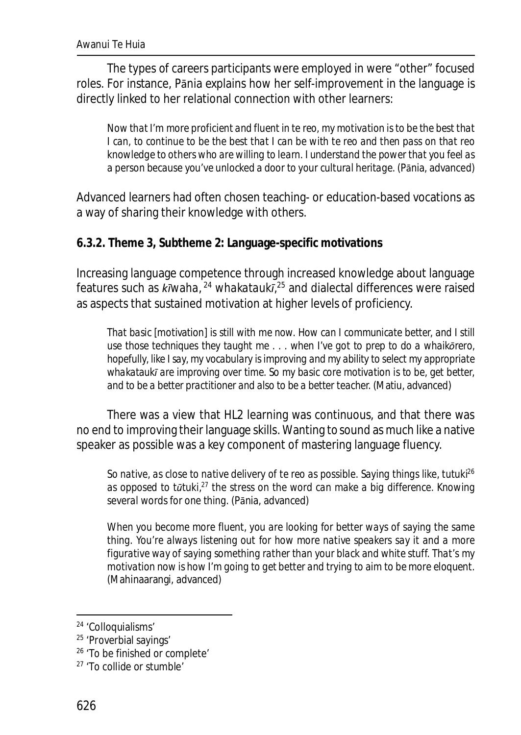The types of careers participants were employed in were "other" focused roles. For instance, Pānia explains how her self-improvement in the language is directly linked to her relational connection with other learners:

*Now that I'm more proficient and fluent in te reo, my motivation is to be the best that I can, to continue to be the best that I can be with te reo and then pass on that reo knowledge to others who are willing to learn. I understand the power that you feel as a person because you've unlocked a door to your cultural heritage.* (Pānia, advanced)

Advanced learners had often chosen teaching- or education-based vocations as a way of sharing their knowledge with others.

**6.3.2. Theme 3, Subtheme 2: Language-specific motivations**

Increasing language competence through increased knowledge about language features such as *kīwaha*, <sup>24</sup> *whakataukī*, <sup>25</sup> and dialectal differences were raised as aspects that sustained motivation at higher levels of proficiency.

*That basic* [motivation] *is still with me now. How can I communicate better, and I still use those techniques they taught me . . . when I've got to prep to do a whaikōrero, hopefully, like I say, my vocabulary is improving and my ability to select my appropriate whakataukī are improving over time. So my basic core motivation is to be, get better, and to be a better practitioner and also to be a better teacher.* (Matiu, advanced)

There was a view that HL2 learning was continuous, and that there was no end to improving their language skills. Wanting to sound as much like a native speaker as possible was a key component of mastering language fluency.

*So native, as close to native delivery of te reo as possible. Saying things like, tutuki<sup>26</sup> as opposed to tūtuki,<sup>27</sup> the stress on the word can make a big difference. Knowing several words for one thing.* (Pānia, advanced)

*When you become more fluent, you are looking for better ways of saying the same thing. You're always listening out for how more native speakers say it and a more figurative way of saying something rather than your black and white stuff. That's my motivation now is how I'm going to get better and trying to aim to be more eloquent.* (Mahinaarangi, advanced)

<sup>24</sup> 'Colloquialisms'

<sup>25</sup> 'Proverbial sayings'

<sup>26</sup> 'To be finished or complete'

<sup>27</sup> 'To collide or stumble'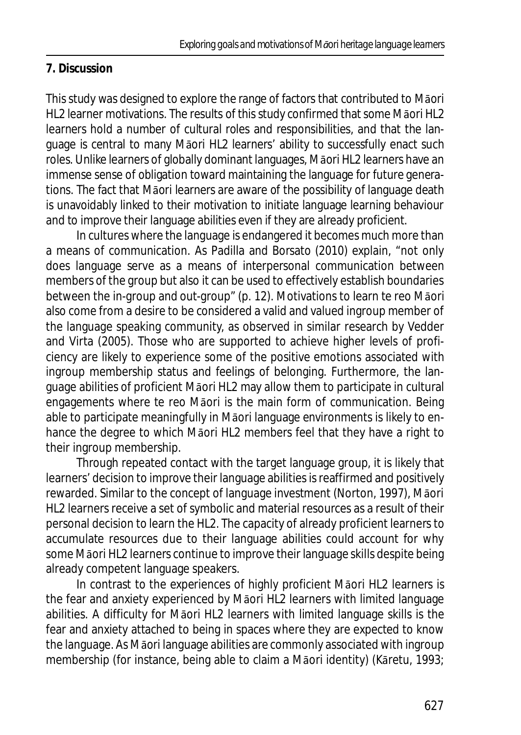## **7. Discussion**

This study was designed to explore the range of factors that contributed to Māori HL2 learner motivations. The results of this study confirmed that some Māori HL2 learners hold a number of cultural roles and responsibilities, and that the language is central to many Māori HL2 learners' ability to successfully enact such roles. Unlike learners of globally dominant languages, Māori HL2 learners have an immense sense of obligation toward maintaining the language for future generations. The fact that Māori learners are aware of the possibility of language death is unavoidably linked to their motivation to initiate language learning behaviour and to improve their language abilities even if they are already proficient.

In cultures where the language is endangered it becomes much more than a means of communication. As Padilla and Borsato (2010) explain, "not only does language serve as a means of interpersonal communication between members of the group but also it can be used to effectively establish boundaries between the in-group and out-group" (p. 12). Motivations to learn te reo Māori also come from a desire to be considered a valid and valued ingroup member of the language speaking community, as observed in similar research by Vedder and Virta (2005). Those who are supported to achieve higher levels of proficiency are likely to experience some of the positive emotions associated with ingroup membership status and feelings of belonging. Furthermore, the language abilities of proficient Māori HL2 may allow them to participate in cultural engagements where te reo Māori is the main form of communication. Being able to participate meaningfully in Māori language environments is likely to enhance the degree to which Māori HL2 members feel that they have a right to their ingroup membership.

Through repeated contact with the target language group, it is likely that learners' decision to improve their language abilities is reaffirmed and positively rewarded. Similar to the concept of language investment (Norton, 1997), Māori HL2 learners receive a set of symbolic and material resources as a result of their personal decision to learn the HL2. The capacity of already proficient learners to accumulate resources due to their language abilities could account for why some Māori HL2 learners continue to improve their language skills despite being already competent language speakers.

In contrast to the experiences of highly proficient Māori HL2 learners is the fear and anxiety experienced by Māori HL2 learners with limited language abilities. A difficulty for Māori HL2 learners with limited language skills is the fear and anxiety attached to being in spaces where they are expected to know the language. As Māori language abilities are commonly associated with ingroup membership (for instance, being able to claim a Māori identity) (Kāretu, 1993;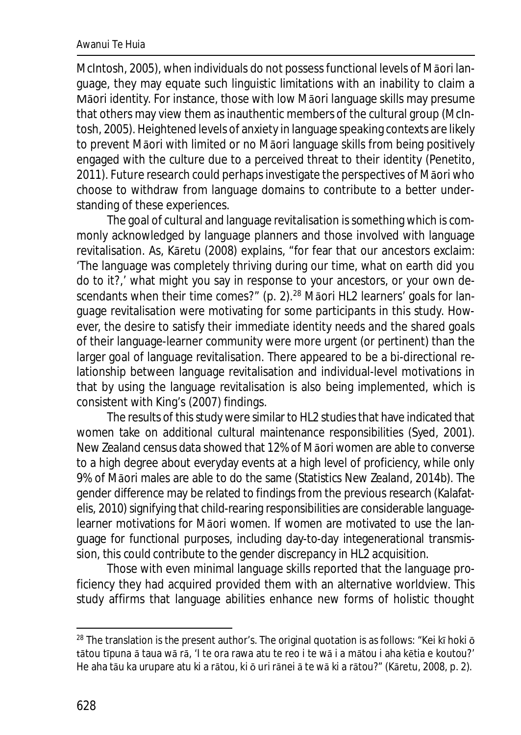McIntosh, 2005), when individuals do not possess functional levels of Māori language, they may equate such linguistic limitations with an inability to claim a Māori identity. For instance, those with low Māori language skills may presume that others may view them as inauthentic members of the cultural group (McIntosh, 2005). Heightened levels of anxiety in language speaking contexts are likely to prevent Māori with limited or no Māori language skills from being positively engaged with the culture due to a perceived threat to their identity (Penetito, 2011). Future research could perhaps investigate the perspectives of Māori who choose to withdraw from language domains to contribute to a better understanding of these experiences.

The goal of cultural and language revitalisation is something which is commonly acknowledged by language planners and those involved with language revitalisation. As, Kāretu (2008) explains, "for fear that our ancestors exclaim: 'The language was completely thriving during our time, what on earth did you do to it?,' what might you say in response to your ancestors, or your own descendants when their time comes?" (p. 2).<sup>28</sup> Māori HL2 learners' goals for language revitalisation were motivating for some participants in this study. However, the desire to satisfy their immediate identity needs and the shared goals of their language-learner community were more urgent (or pertinent) than the larger goal of language revitalisation. There appeared to be a bi-directional relationship between language revitalisation and individual-level motivations in that by using the language revitalisation is also being implemented, which is consistent with King's (2007) findings.

The results of this study were similar to HL2 studies that have indicated that women take on additional cultural maintenance responsibilities (Syed, 2001). New Zealand census data showed that 12% of Māori women are able to converse to a high degree about everyday events at a high level of proficiency, while only 9% of Māori males are able to do the same (Statistics New Zealand, 2014b). The gender difference may be related to findings from the previous research (Kalafatelis, 2010) signifying that child-rearing responsibilities are considerable languagelearner motivations for Māori women. If women are motivated to use the language for functional purposes, including day-to-day integenerational transmission, this could contribute to the gender discrepancy in HL2 acquisition.

Those with even minimal language skills reported that the language proficiency they had acquired provided them with an alternative worldview. This study affirms that language abilities enhance new forms of holistic thought

 $28$  The translation is the present author's. The original quotation is as follows: "Kei kī hoki  $\bar{o}$ tātou tīpuna ā taua wā rā, 'I te ora rawa atu te reo i te wā i a mātou i aha kētia e koutou?' He aha tāu ka urupare atu ki a rātou, ki ō uri rānei ā te wā ki a rātou?" (Kāretu, 2008, p. 2).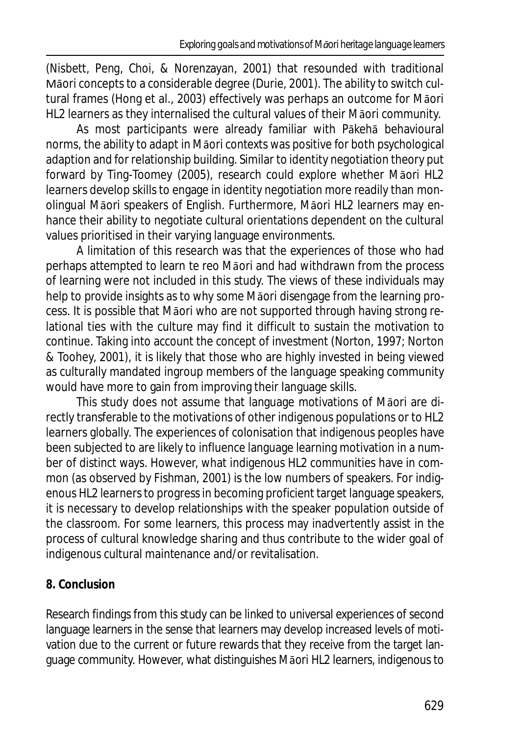(Nisbett, Peng, Choi, & Norenzayan, 2001) that resounded with traditional Māori concepts to a considerable degree (Durie, 2001). The ability to switch cultural frames (Hong et al., 2003) effectively was perhaps an outcome for Māori HL2 learners as they internalised the cultural values of their Māori community.

As most participants were already familiar with Pākehā behavioural norms, the ability to adapt in Māori contexts was positive for both psychological adaption and for relationship building. Similar to identity negotiation theory put forward by Ting-Toomey (2005), research could explore whether Māori HL2 learners develop skills to engage in identity negotiation more readily than monolingual Māori speakers of English. Furthermore, Māori HL2 learners may enhance their ability to negotiate cultural orientations dependent on the cultural values prioritised in their varying language environments.

A limitation of this research was that the experiences of those who had perhaps attempted to learn te reo Māori and had withdrawn from the process of learning were not included in this study. The views of these individuals may help to provide insights as to why some Māori disengage from the learning process. It is possible that Māori who are not supported through having strong relational ties with the culture may find it difficult to sustain the motivation to continue. Taking into account the concept of investment (Norton, 1997; Norton & Toohey, 2001), it is likely that those who are highly invested in being viewed as culturally mandated ingroup members of the language speaking community would have more to gain from improving their language skills.

This study does not assume that language motivations of Māori are directly transferable to the motivations of other indigenous populations or to HL2 learners globally. The experiences of colonisation that indigenous peoples have been subjected to are likely to influence language learning motivation in a number of distinct ways. However, what indigenous HL2 communities have in common (as observed by Fishman, 2001) is the low numbers of speakers. For indigenous HL2 learners to progress in becoming proficient target language speakers, it is necessary to develop relationships with the speaker population outside of the classroom. For some learners, this process may inadvertently assist in the process of cultural knowledge sharing and thus contribute to the wider goal of indigenous cultural maintenance and/or revitalisation.

## **8. Conclusion**

Research findings from this study can be linked to universal experiences of second language learners in the sense that learners may develop increased levels of motivation due to the current or future rewards that they receive from the target language community. However, what distinguishes Māori HL2 learners, indigenous to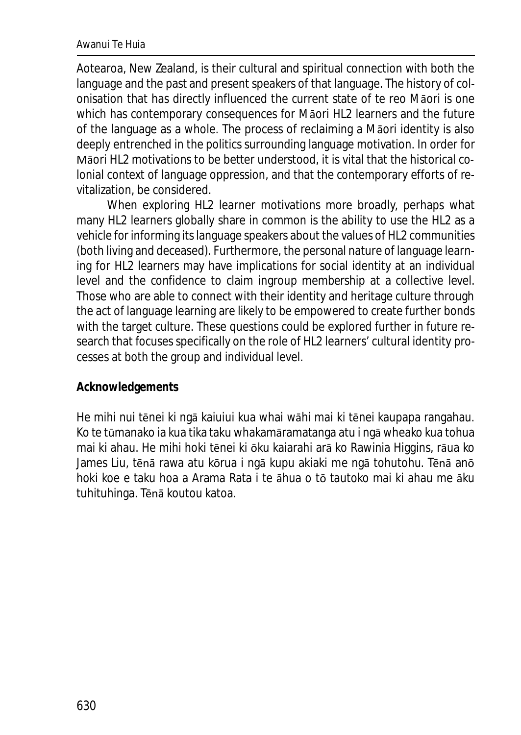#### Awanui Te Huia

Aotearoa, New Zealand, is their cultural and spiritual connection with both the language and the past and present speakers of that language. The history of colonisation that has directly influenced the current state of te reo Māori is one which has contemporary consequences for Māori HL2 learners and the future of the language as a whole. The process of reclaiming a Māori identity is also deeply entrenched in the politics surrounding language motivation. In order for Māori HL2 motivations to be better understood, it is vital that the historical colonial context of language oppression, and that the contemporary efforts of revitalization, be considered.

When exploring HL2 learner motivations more broadly, perhaps what many HL2 learners globally share in common is the ability to use the HL2 as a vehicle for informing its language speakers about the values of HL2 communities (both living and deceased). Furthermore, the personal nature of language learning for HL2 learners may have implications for social identity at an individual level and the confidence to claim ingroup membership at a collective level. Those who are able to connect with their identity and heritage culture through the act of language learning are likely to be empowered to create further bonds with the target culture. These questions could be explored further in future research that focuses specifically on the role of HL2 learners' cultural identity processes at both the group and individual level.

#### **Acknowledgements**

He mihi nui tēnei ki ngā kaiuiui kua whai wāhi mai ki tēnei kaupapa rangahau. Ko te tūmanako ia kua tika taku whakamāramatanga atu i ngā wheako kua tohua mai ki ahau. He mihi hoki tēnei ki ōku kaiarahi arā ko Rawinia Higgins, rāua ko James Liu, tēnā rawa atu kōrua i ngā kupu akiaki me ngā tohutohu. Tēnā anō hoki koe e taku hoa a Arama Rata i te āhua o tō tautoko mai ki ahau me āku tuhituhinga. Tēnā koutou katoa.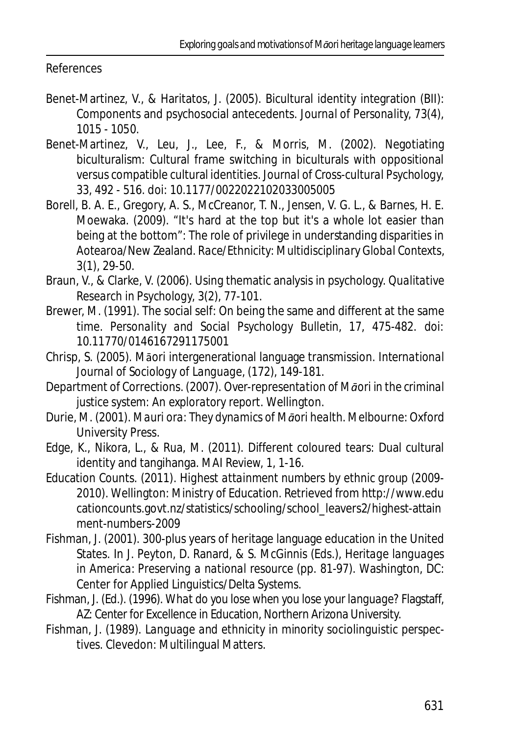#### References

- Benet-Martinez, V., & Haritatos, J. (2005). Bicultural identity integration (BII): Components and psychosocial antecedents. *Journal of Personality, 73*(4), 1015 - 1050.
- Benet-Martinez, V., Leu, J., Lee, F., & Morris, M. (2002). Negotiating biculturalism: Cultural frame switching in biculturals with oppositional versus compatible cultural identities. *Journal of Cross-cultural Psychology, 33*, 492 - 516. doi: 10.1177/0022022102033005005
- Borell, B. A. E., Gregory, A. S., McCreanor, T. N., Jensen, V. G. L., & Barnes, H. E. Moewaka. (2009). "It's hard at the top but it's a whole lot easier than being at the bottom": The role of privilege in understanding disparities in Aotearoa/New Zealand. *Race/Ethnicity: Multidisciplinary Global Contexts, 3*(1), 29-50.
- Braun, V., & Clarke, V. (2006). Using thematic analysis in psychology. *Qualitative Research in Psychology, 3*(2), 77-101.
- Brewer, M. (1991). The social self: On being the same and different at the same time. *Personality and Social Psychology Bulletin, 17*, 475-482. doi: 10.11770/0146167291175001
- Chrisp, S. (2005). Māori intergenerational language transmission. *International Journal of Sociology of Language,* (172), 149-181.
- Department of Corrections. (2007). *Over-representation of Māori in the criminal justice system: An exploratory report*. Wellington.
- Durie, M. (2001). *Mauri ora: They dynamics of Māori health*. Melbourne: Oxford University Press.
- Edge, K., Nikora, L., & Rua, M. (2011). Different coloured tears: Dual cultural identity and tangihanga. *MAI Review, 1*, 1-16.
- Education Counts. (2011). *Highest attainment numbers by ethnic group (2009- 2010)*. Wellington: Ministry of Education. Retrieved from http://www.edu cationcounts.govt.nz/statistics/schooling/school\_leavers2/highest-attain ment-numbers-2009
- Fishman, J. (2001). 300-plus years of heritage language education in the United States. In J. Peyton, D. Ranard, & S. McGinnis (Eds.), *Heritage languages in America: Preserving a national resource* (pp. 81-97). Washington, DC: Center for Applied Linguistics/Delta Systems.
- Fishman, J. (Ed.). (1996). *What do you lose when you lose your language?* Flagstaff, AZ: Center for Excellence in Education, Northern Arizona University.
- Fishman, J. (1989). *Language and ethnicity in minority sociolinguistic perspectives*. Clevedon: Multilingual Matters.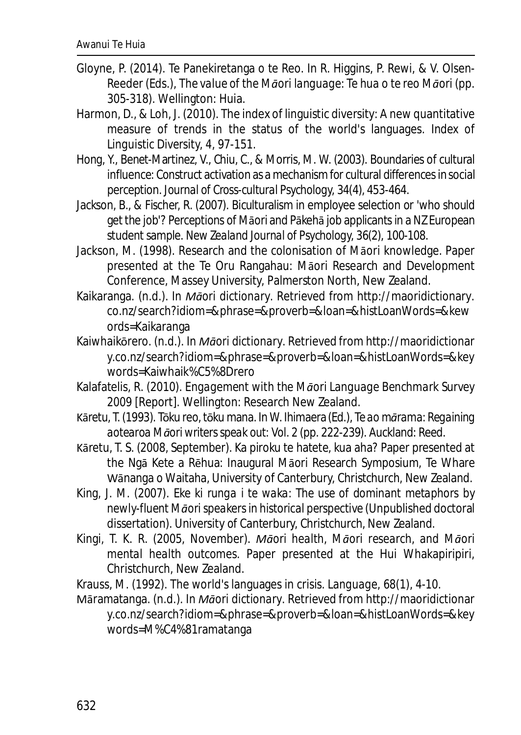- Gloyne, P. (2014). Te Panekiretanga o te Reo. In R. Higgins, P. Rewi, & V. Olsen-Reeder (Eds.), *The value of the Māori language: Te hua o te reo Māori* (pp. 305-318). Wellington: Huia.
- Harmon, D., & Loh, J. (2010). The index of linguistic diversity: A new quantitative measure of trends in the status of the world's languages. *Index of Linguistic Diversity, 4*, 97-151.
- Hong, Y., Benet-Martinez, V., Chiu, C., & Morris, M. W. (2003). Boundaries of cultural influence: Construct activation as a mechanism for cultural differences in social perception. *Journal of Cross-cultural Psychology, 34*(4), 453-464.
- Jackson, B., & Fischer, R. (2007). Biculturalism in employee selection or 'who should get the job'? Perceptions of Māori and Pākehā job applicants in a NZ European student sample. *New Zealand Journal of Psychology, 36*(2), 100-108.
- Jackson, M. (1998). Research and the colonisation of Māori knowledge*.* Paper presented at the Te Oru Rangahau: Māori Research and Development Conference, Massey University, Palmerston North, New Zealand.
- Kaikaranga. (n.d.). In *Māori dictionary*. Retrieved from http://maoridictionary. co.nz/search?idiom=&phrase=&proverb=&loan=&histLoanWords=&kew ords=Kaikaranga
- Kaiwhaikōrero. (n.d.). In *Māori dictionary*. Retrieved from http://maoridictionar y.co.nz/search?idiom=&phrase=&proverb=&loan=&histLoanWords=&key words=Kaiwhaik%C5%8Drero
- Kalafatelis, R. (2010). *Engagement with the Māori Language Benchmark Survey 2009* [Report]. Wellington: Research New Zealand.
- Kāretu, T. (1993). Tōku reo, tōku mana. In W. Ihimaera (Ed.), *Te ao mārama: Regaining aotearoa Māori writers speak out: Vol. 2* (pp. 222-239). Auckland: Reed.
- Kāretu, T. S. (2008, September). Ka piroku te hatete, kua aha? Paper presented at the Ngā Kete a Rēhua: Inaugural Māori Research Symposium, Te Whare Wānanga o Waitaha, University of Canterbury, Christchurch, New Zealand.
- King, J. M. (2007). *Eke ki runga i te waka: The use of dominant metaphors by newly-fluent Māori speakers in historical perspective* (Unpublished doctoral dissertation). University of Canterbury, Christchurch, New Zealand.
- Kingi, T. K. R. (2005, November). *Māori health, Māori research, and Māori mental health outcomes*. Paper presented at the Hui Whakapiripiri, Christchurch, New Zealand.
- Krauss, M. (1992). The world's languages in crisis. *Language, 68*(1), 4-10.

Māramatanga. (n.d.). In *Māori dictionary*. Retrieved from http://maoridictionar y.co.nz/search?idiom=&phrase=&proverb=&loan=&histLoanWords=&key words=M%C4%81ramatanga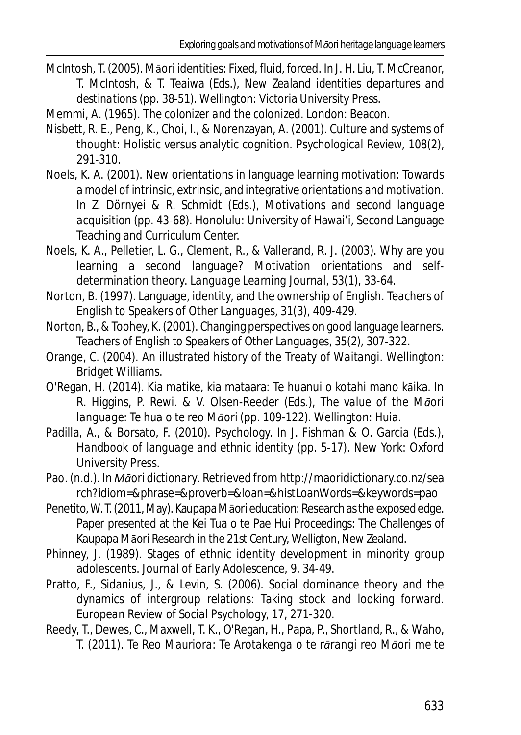- McIntosh, T. (2005). Māori identities: Fixed, fluid, forced. In J. H. Liu, T. McCreanor, T. McIntosh, & T. Teaiwa (Eds.), *New Zealand identities departures and destinations* (pp. 38-51). Wellington: Victoria University Press.
- Memmi, A. (1965). *The colonizer and the colonized*. London: Beacon.
- Nisbett, R. E., Peng, K., Choi, I., & Norenzayan, A. (2001). Culture and systems of thought: Holistic versus analytic cognition. *Psychological Review, 108*(2), 291-310.
- Noels, K. A. (2001). New orientations in language learning motivation: Towards a model of intrinsic, extrinsic, and integrative orientations and motivation. In Z. Dörnyei & R. Schmidt (Eds.), *Motivations and second language acquisition* (pp. 43-68). Honolulu: University of Hawai'i, Second Language Teaching and Curriculum Center.
- Noels, K. A., Pelletier, L. G., Clement, R., & Vallerand, R. J. (2003). Why are you learning a second language? Motivation orientations and selfdetermination theory. *Language Learning Journal, 53*(1), 33-64.
- Norton, B. (1997). Language, identity, and the ownership of English. *Teachers of English to Speakers of Other Languages, 31*(3), 409-429.
- Norton, B., & Toohey, K. (2001). Changing perspectives on good language learners. *Teachers of English to Speakers of Other Languages, 35*(2), 307-322.
- Orange, C. (2004). *An illustrated history of the Treaty of Waitangi*. Wellington: Bridget Williams.
- O'Regan, H. (2014). Kia matike, kia mataara: Te huanui o kotahi mano kāika. In R. Higgins, P. Rewi. & V. Olsen-Reeder (Eds.), *The value of the Māori language: Te hua o te reo Māori* (pp. 109-122). Wellington: Huia.
- Padilla, A., & Borsato, F. (2010). Psychology. In J. Fishman & O. Garcia (Eds.), *Handbook of language and ethnic identity* (pp. 5-17). New York: Oxford University Press.
- Pao. (n.d.). In *Māori dictionary*. Retrieved from http://maoridictionary.co.nz/sea rch?idiom=&phrase=&proverb=&loan=&histLoanWords=&keywords=pao
- Penetito, W. T. (2011, May). Kaupapa Māori education: Research as the exposed edge. Paper presented at the Kei Tua o te Pae Hui Proceedings: The Challenges of Kaupapa Māori Research in the 21st Century, Welligton, New Zealand.
- Phinney, J. (1989). Stages of ethnic identity development in minority group adolescents. *Journal of Early Adolescence, 9*, 34-49.
- Pratto, F., Sidanius, J., & Levin, S. (2006). Social dominance theory and the dynamics of intergroup relations: Taking stock and looking forward. *European Review of Social Psychology, 17*, 271-320.
- Reedy, T., Dewes, C., Maxwell, T. K., O'Regan, H., Papa, P., Shortland, R., & Waho, T. (2011). *Te Reo Mauriora: Te Arotakenga o te rārangi reo Māori me te*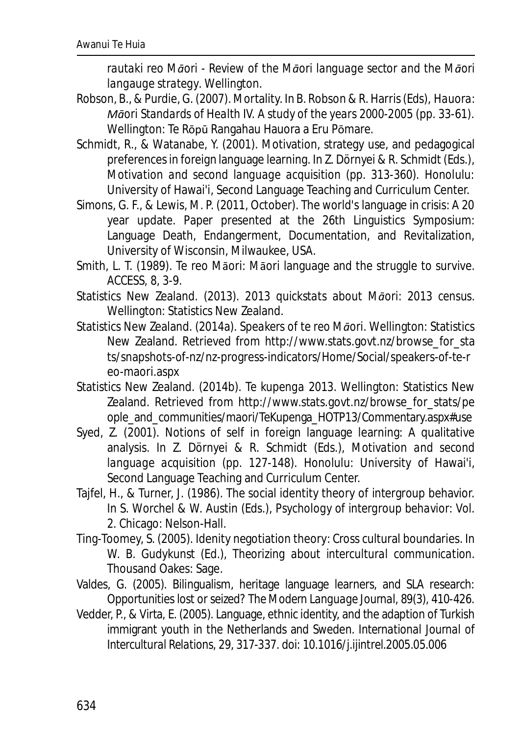*rautaki reo Māori - Review of the Māori language sector and the Māori langauge strategy*. Wellington.

- Robson, B., & Purdie, G. (2007). Mortality. In B. Robson & R. Harris (Eds), *Hauora: Māori Standards of Health IV. A study of the years 2000-2005* (pp. 33-61)*.* Wellington: Te Rōpū Rangahau Hauora a Eru Pōmare.
- Schmidt, R., & Watanabe, Y. (2001). Motivation, strategy use, and pedagogical preferences in foreign language learning. In Z. Dörnyei & R. Schmidt (Eds.), *Motivation and second language acquisition* (pp. 313-360). Honolulu: University of Hawai'i, Second Language Teaching and Curriculum Center.
- Simons, G. F., & Lewis, M. P. (2011, October). The world's language in crisis: A 20 year update. Paper presented at the 26th Linguistics Symposium: Language Death, Endangerment, Documentation, and Revitalization, University of Wisconsin, Milwaukee, USA.
- Smith, L. T. (1989). Te reo Māori: Māori language and the struggle to survive. *ACCESS, 8*, 3-9.
- Statistics New Zealand. (2013). *2013 quickstats about Māori: 2013 census*. Wellington: Statistics New Zealand.
- Statistics New Zealand. (2014a). *Speakers of te reo Māori.* Wellington: Statistics New Zealand. Retrieved from http://www.stats.govt.nz/browse\_for\_sta ts/snapshots-of-nz/nz-progress-indicators/Home/Social/speakers-of-te-r eo-maori.aspx
- Statistics New Zealand. (2014b). *Te kupenga 2013.* Wellington: Statistics New Zealand. Retrieved from http://www.stats.govt.nz/browse\_for\_stats/pe ople and communities/maori/TeKupenga\_HOTP13/Commentary.aspx#use
- Syed, Z. (2001). Notions of self in foreign language learning: A qualitative analysis. In Z. Dörnyei & R. Schmidt (Eds.), *Motivation and second language acquisition* (pp. 127-148). Honolulu: University of Hawai'i, Second Language Teaching and Curriculum Center.
- Tajfel, H., & Turner, J. (1986). The social identity theory of intergroup behavior. In S. Worchel & W. Austin (Eds.), *Psychology of intergroup behavior*: *Vol. 2.* Chicago: Nelson-Hall.
- Ting-Toomey, S. (2005). Idenity negotiation theory: Cross cultural boundaries. In W. B. Gudykunst (Ed.), *Theorizing about intercultural communication*. Thousand Oakes: Sage.
- Valdes, G. (2005). Bilingualism, heritage language learners, and SLA research: Opportunities lost or seized? *The Modern Language Journal, 89*(3), 410-426.
- Vedder, P., & Virta, E. (2005). Language, ethnic identity, and the adaption of Turkish immigrant youth in the Netherlands and Sweden. *International Journal of Intercultural Relations, 29*, 317-337. doi: 10.1016/j.ijintrel.2005.05.006